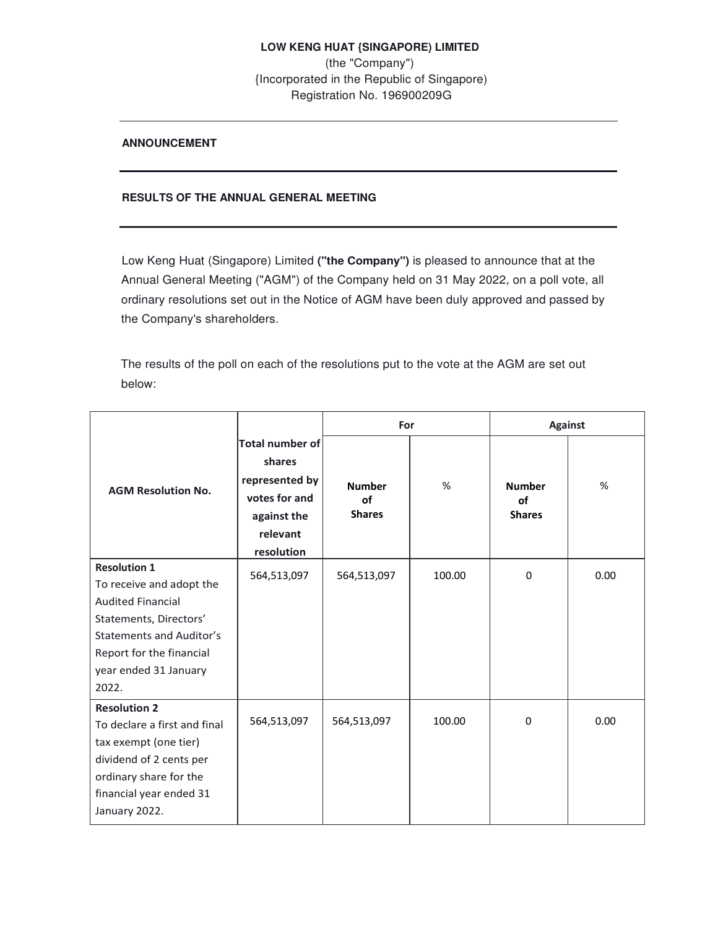## **ANNOUNCEMENT**

## **RESULTS OF THE ANNUAL GENERAL MEETING**

Low Keng Huat (Singapore) Limited **("the Company")** is pleased to announce that at the Annual General Meeting ("AGM") of the Company held on 31 May 2022, on a poll vote, all ordinary resolutions set out in the Notice of AGM have been duly approved and passed by the Company's shareholders.

The results of the poll on each of the resolutions put to the vote at the AGM are set out below:

|                                                                                                                                                                                                        |                                                                                                              | For                                  |        | <b>Against</b>                       |      |
|--------------------------------------------------------------------------------------------------------------------------------------------------------------------------------------------------------|--------------------------------------------------------------------------------------------------------------|--------------------------------------|--------|--------------------------------------|------|
| <b>AGM Resolution No.</b>                                                                                                                                                                              | <b>Total number of</b><br>shares<br>represented by<br>votes for and<br>against the<br>relevant<br>resolution | <b>Number</b><br>of<br><b>Shares</b> | $\%$   | <b>Number</b><br>of<br><b>Shares</b> | %    |
| <b>Resolution 1</b><br>To receive and adopt the<br><b>Audited Financial</b><br>Statements, Directors'<br><b>Statements and Auditor's</b><br>Report for the financial<br>year ended 31 January<br>2022. | 564,513,097                                                                                                  | 564,513,097                          | 100.00 | 0                                    | 0.00 |
| <b>Resolution 2</b><br>To declare a first and final<br>tax exempt (one tier)<br>dividend of 2 cents per<br>ordinary share for the<br>financial year ended 31<br>January 2022.                          | 564,513,097                                                                                                  | 564,513,097                          | 100.00 | $\Omega$                             | 0.00 |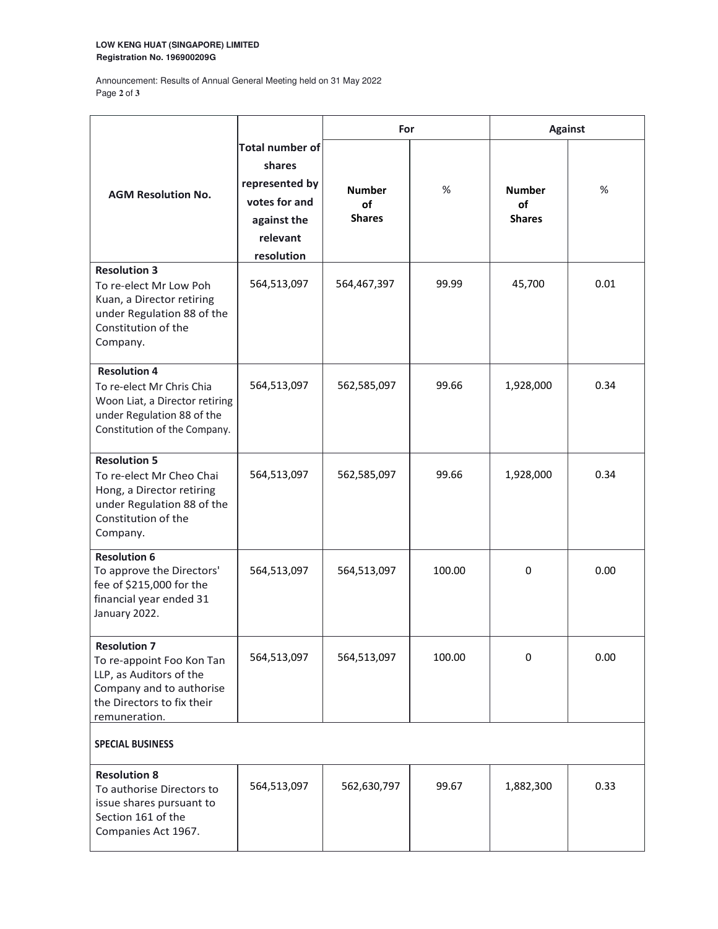### **LOW KENG HUAT (SINGAPORE) LIMITED Registration No. 196900209G**

Announcement: Results of Annual General Meeting held on 31 May 2022 Page **2** of **3** 

|                                                                                                                                                        |                                                                                                       | For                                  |        | <b>Against</b>                       |      |  |  |  |
|--------------------------------------------------------------------------------------------------------------------------------------------------------|-------------------------------------------------------------------------------------------------------|--------------------------------------|--------|--------------------------------------|------|--|--|--|
| <b>AGM Resolution No.</b>                                                                                                                              | Total number of<br>shares<br>represented by<br>votes for and<br>against the<br>relevant<br>resolution | <b>Number</b><br>of<br><b>Shares</b> | %      | <b>Number</b><br>οf<br><b>Shares</b> | %    |  |  |  |
| <b>Resolution 3</b><br>To re-elect Mr Low Poh<br>Kuan, a Director retiring<br>under Regulation 88 of the<br>Constitution of the<br>Company.            | 564,513,097                                                                                           | 564,467,397                          | 99.99  | 45,700                               | 0.01 |  |  |  |
| <b>Resolution 4</b><br>To re-elect Mr Chris Chia<br>Woon Liat, a Director retiring<br>under Regulation 88 of the<br>Constitution of the Company.       | 564,513,097                                                                                           | 562,585,097                          | 99.66  | 1,928,000                            | 0.34 |  |  |  |
| <b>Resolution 5</b><br>To re-elect Mr Cheo Chai<br>Hong, a Director retiring<br>under Regulation 88 of the<br>Constitution of the<br>Company.          | 564,513,097                                                                                           | 562,585,097                          | 99.66  | 1,928,000                            | 0.34 |  |  |  |
| <b>Resolution 6</b><br>To approve the Directors'<br>fee of \$215,000 for the<br>financial year ended 31<br>January 2022.                               | 564,513,097                                                                                           | 564,513,097                          | 100.00 | 0                                    | 0.00 |  |  |  |
| <b>Resolution 7</b><br>To re-appoint Foo Kon Tan<br>LLP, as Auditors of the<br>Company and to authorise<br>the Directors to fix their<br>remuneration. | 564,513,097                                                                                           | 564,513,097                          | 100.00 | 0                                    | 0.00 |  |  |  |
| <b>SPECIAL BUSINESS</b>                                                                                                                                |                                                                                                       |                                      |        |                                      |      |  |  |  |
| <b>Resolution 8</b><br>To authorise Directors to<br>issue shares pursuant to<br>Section 161 of the<br>Companies Act 1967.                              | 564,513,097                                                                                           | 562,630,797                          | 99.67  | 1,882,300                            | 0.33 |  |  |  |